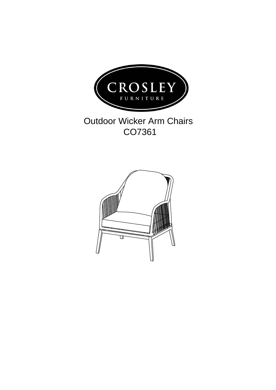

## Outdoor Wicker Arm Chairs CO7361

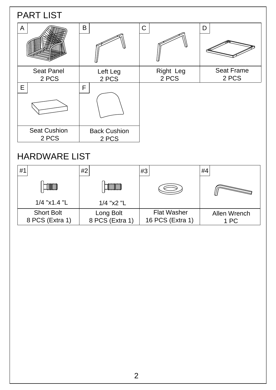| <b>PART LIST</b>             |                              |                           |                            |  |
|------------------------------|------------------------------|---------------------------|----------------------------|--|
| $\mathsf{A}$                 | $\mathsf B$                  | $\mathsf C$               | D                          |  |
| <b>Seat Panel</b><br>2 PCS   | Left Leg<br>2 PCS            | <b>Right Leg</b><br>2 PCS | <b>Seat Frame</b><br>2 PCS |  |
| $\mathsf E$                  | F                            |                           |                            |  |
| <b>Seat Cushion</b><br>2 PCS | <b>Back Cushion</b><br>2 PCS |                           |                            |  |
| <b>HARDWARE LIST</b>         |                              |                           |                            |  |

| #1                                   | #2                           | #3                                     | #4                   |
|--------------------------------------|------------------------------|----------------------------------------|----------------------|
|                                      |                              |                                        |                      |
| 1/4 "x1.4 "L                         | 1/4 "x2 "L                   |                                        |                      |
| <b>Short Bolt</b><br>8 PCS (Extra 1) | Long Bolt<br>8 PCS (Extra 1) | <b>Flat Washer</b><br>16 PCS (Extra 1) | Allen Wrench<br>1 PC |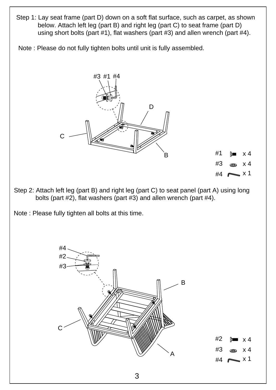- Step 1: Lay seat frame (part D) down on a soft flat surface, such as carpet, as shown below. Attach left leg (part B) and right leg (part C) to seat frame (part D) using short bolts (part #1), flat washers (part #3) and allen wrench (part #4).
- Note : Please do not fully tighten bolts until unit is fully assembled.



- Step 2: Attach left leg (part B) and right leg (part C) to seat panel (part A) using long bolts (part #2), flat washers (part #3) and allen wrench (part #4).
- Note : Please fully tighten all bolts at this time.